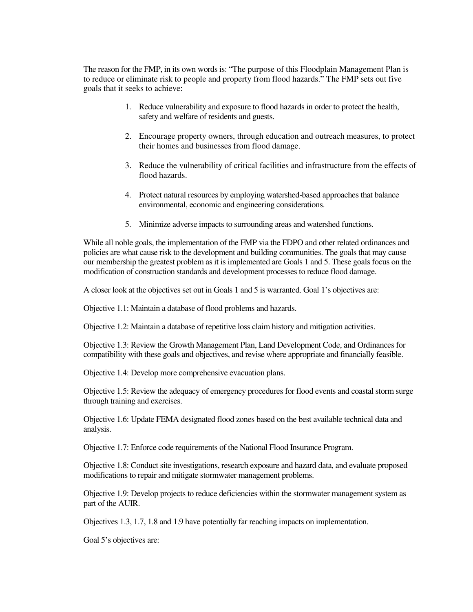The reason for the FMP, in its own words is: "The purpose of this Floodplain Management Plan is to reduce or eliminate risk to people and property from flood hazards." The FMP sets out five goals that it seeks to achieve:

- 1. Reduce vulnerability and exposure to flood hazards in order to protect the health, safety and welfare of residents and guests.
- 2. Encourage property owners, through education and outreach measures, to protect their homes and businesses from flood damage.
- 3. Reduce the vulnerability of critical facilities and infrastructure from the effects of flood hazards.
- 4. Protect natural resources by employing watershed-based approaches that balance environmental, economic and engineering considerations.
- 5. Minimize adverse impacts to surrounding areas and watershed functions.

While all noble goals, the implementation of the FMP via the FDPO and other related ordinances and policies are what cause risk to the development and building communities. The goals that may cause our membership the greatest problem as it is implemented are Goals 1 and 5. These goals focus on the modification of construction standards and development processes to reduce flood damage.

A closer look at the objectives set out in Goals 1 and 5 is warranted. Goal 1's objectives are:

Objective 1.1: Maintain a database of flood problems and hazards.

Objective 1.2: Maintain a database of repetitive loss claim history and mitigation activities.

Objective 1.3: Review the Growth Management Plan, Land Development Code, and Ordinances for compatibility with these goals and objectives, and revise where appropriate and financially feasible.

Objective 1.4: Develop more comprehensive evacuation plans.

Objective 1.5: Review the adequacy of emergency procedures for flood events and coastal storm surge through training and exercises.

Objective 1.6: Update FEMA designated flood zones based on the best available technical data and analysis.

Objective 1.7: Enforce code requirements of the National Flood Insurance Program.

Objective 1.8: Conduct site investigations, research exposure and hazard data, and evaluate proposed modifications to repair and mitigate stormwater management problems.

Objective 1.9: Develop projects to reduce deficiencies within the stormwater management system as part of the AUIR.

Objectives 1.3, 1.7, 1.8 and 1.9 have potentially far reaching impacts on implementation.

Goal 5's objectives are: